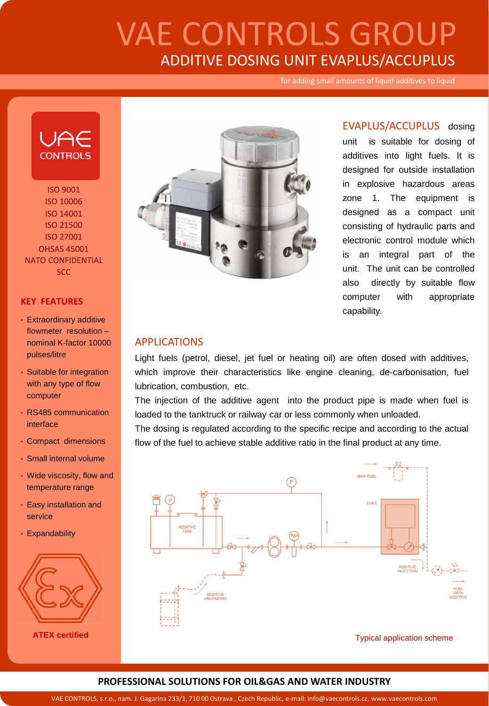# **VAE CONTROLS GROUP** ADDITIVE DOSING UNIT EVAPLUS/ACCUPLUS

for adding small amounts of liquid additives to liquid



ISO 9001 ISO 10006 ISO 14001 ISO 21500 ISO 27001 OHSAS 45001 NATO CONFIDENTIAL **SCC** 

#### **KEY FEATURES**

- Extraordinary additive flowmeter resolution – nominal K-factor 10000 pulses/litre
- Suitable for integration with any type of flow computer
- RS485 communication interface
- Compact dimensions
- Small internal volume
- Wide viscosity, flow and temperature range
- Easy installation and service
- Expandability



**ATEX certified**



EVAPLUS/ACCUPLUS dosing unit is suitable for dosing of additives into light fuels. It is designed for outside installation in explosive hazardous areas zone 1. The equipment is designed as a compact unit consisting of hydraulic parts and electronic control module which is an integral part of the unit. The unit can be controlled also directly by suitable flow computer with appropriate capability.

#### APPLICATIONS

Light fuels (petrol, diesel, jet fuel or heating oil) are often dosed with additives, which improve their characteristics like engine cleaning, de-carbonisation, fuel lubrication, combustion, etc.

The injection of the additive agent into the product pipe is made when fuel is loaded to the tanktruck or railway car or less commonly when unloaded.

The dosing is regulated according to the specific recipe and according to the actual flow of the fuel to achieve stable additive ratio in the final product at any time.



Typical application scheme

### **PROFESSIONAL SOLUTIONS FOR OIL&GAS AND WATER INDUSTRY**